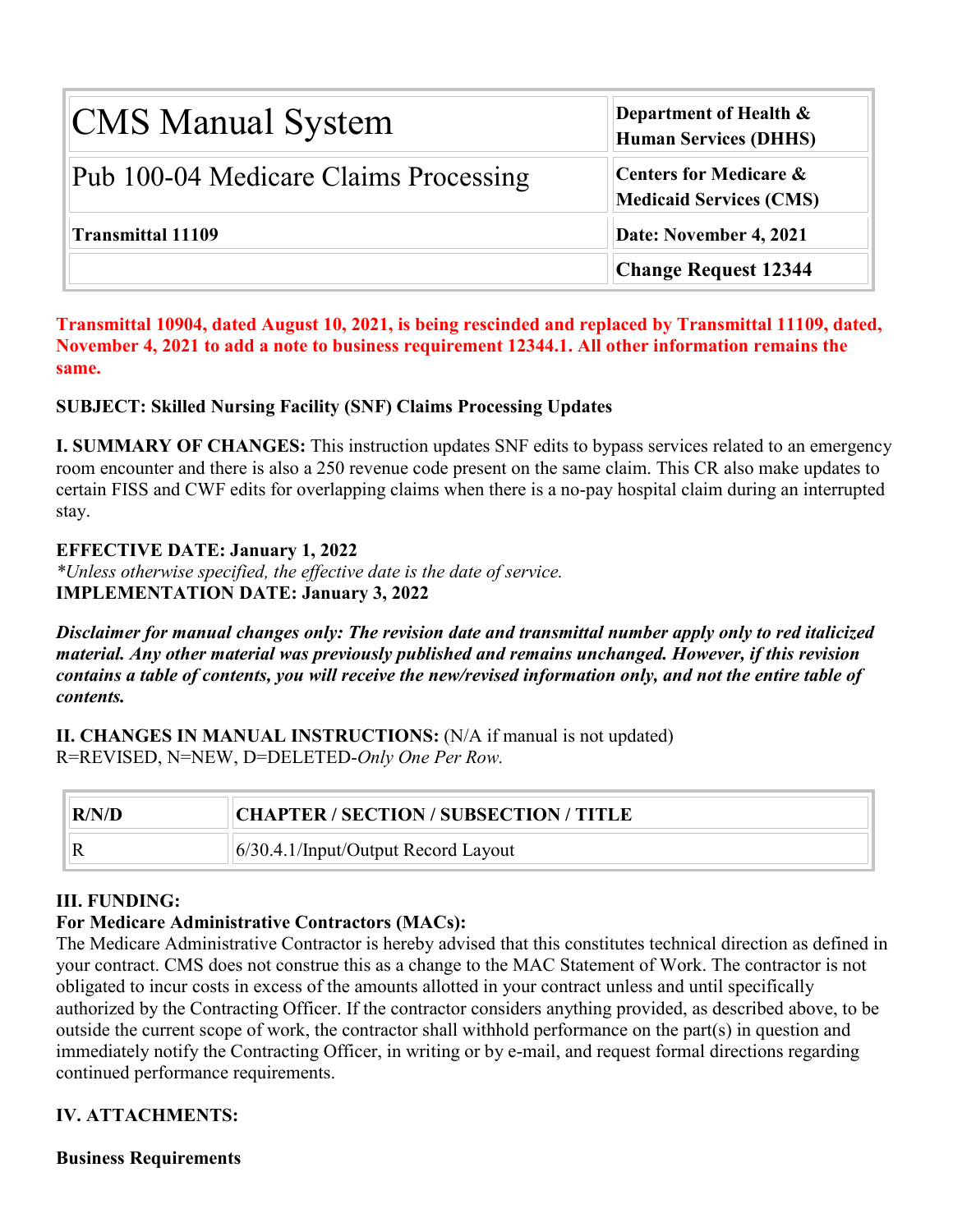| <b>CMS Manual System</b>              | Department of Health &<br><b>Human Services (DHHS)</b>   |
|---------------------------------------|----------------------------------------------------------|
| Pub 100-04 Medicare Claims Processing | Centers for Medicare &<br><b>Medicaid Services (CMS)</b> |
| <b>Transmittal 11109</b>              | Date: November 4, 2021                                   |
|                                       | <b>Change Request 12344</b>                              |

**Transmittal 10904, dated August 10, 2021, is being rescinded and replaced by Transmittal 11109, dated, November 4, 2021 to add a note to business requirement 12344.1. All other information remains the same.**

### **SUBJECT: Skilled Nursing Facility (SNF) Claims Processing Updates**

**I. SUMMARY OF CHANGES:** This instruction updates SNF edits to bypass services related to an emergency room encounter and there is also a 250 revenue code present on the same claim. This CR also make updates to certain FISS and CWF edits for overlapping claims when there is a no-pay hospital claim during an interrupted stay.

### **EFFECTIVE DATE: January 1, 2022**

*\*Unless otherwise specified, the effective date is the date of service.* **IMPLEMENTATION DATE: January 3, 2022**

*Disclaimer for manual changes only: The revision date and transmittal number apply only to red italicized material. Any other material was previously published and remains unchanged. However, if this revision contains a table of contents, you will receive the new/revised information only, and not the entire table of contents.*

**II. CHANGES IN MANUAL INSTRUCTIONS:** (N/A if manual is not updated) R=REVISED, N=NEW, D=DELETED-*Only One Per Row.*

| R/N/D | <b>CHAPTER / SECTION / SUBSECTION / TITLE</b> |
|-------|-----------------------------------------------|
|       | $6/30.4.1$ /Input/Output Record Layout        |

### **III. FUNDING:**

### **For Medicare Administrative Contractors (MACs):**

The Medicare Administrative Contractor is hereby advised that this constitutes technical direction as defined in your contract. CMS does not construe this as a change to the MAC Statement of Work. The contractor is not obligated to incur costs in excess of the amounts allotted in your contract unless and until specifically authorized by the Contracting Officer. If the contractor considers anything provided, as described above, to be outside the current scope of work, the contractor shall withhold performance on the part(s) in question and immediately notify the Contracting Officer, in writing or by e-mail, and request formal directions regarding continued performance requirements.

### **IV. ATTACHMENTS:**

**Business Requirements**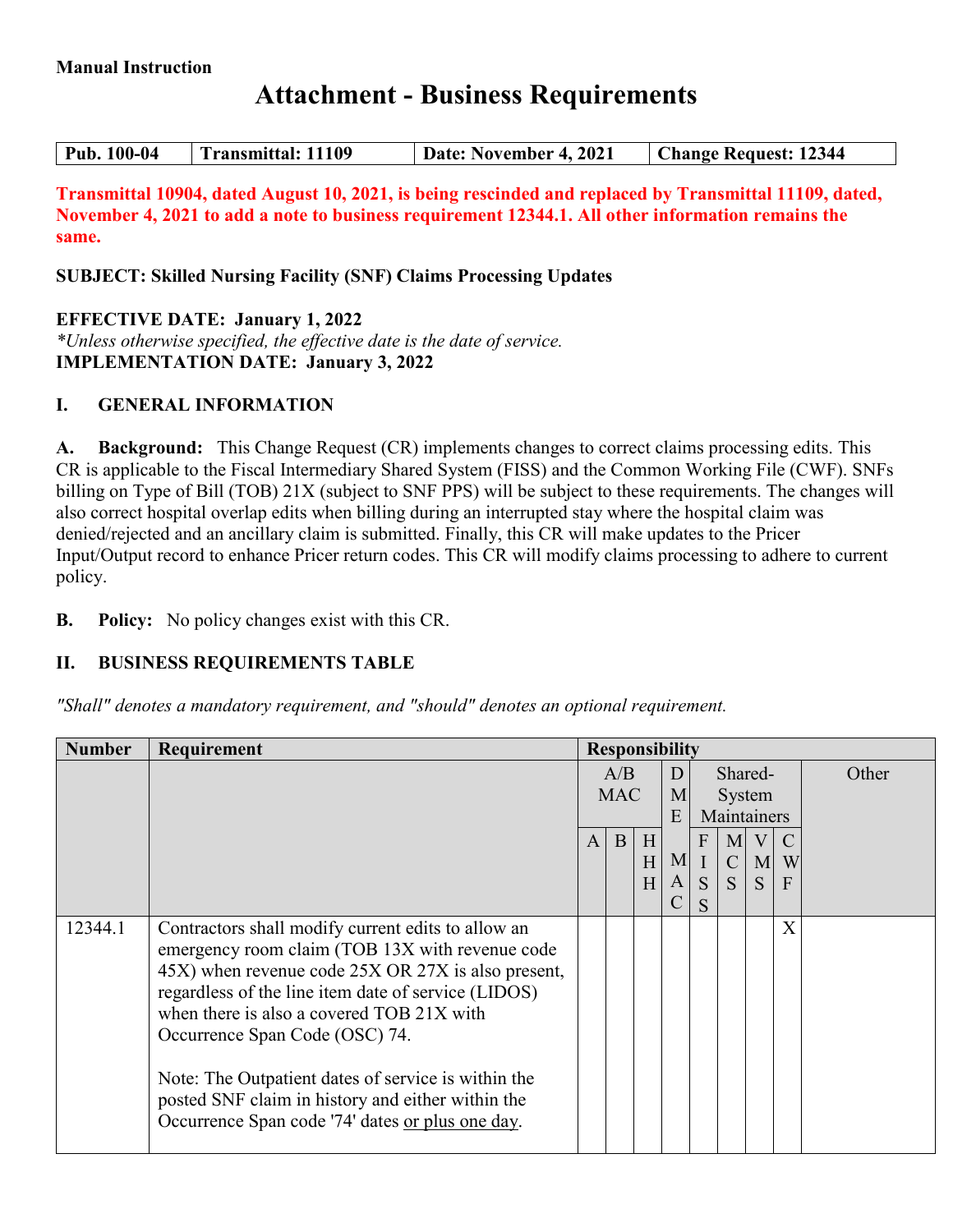## **Attachment - Business Requirements**

| Transmittal: 11109<br><b>Pub. 100-04</b> | Date: November 4, 2021 | <b>Change Request: 12344</b> |
|------------------------------------------|------------------------|------------------------------|
|------------------------------------------|------------------------|------------------------------|

**Transmittal 10904, dated August 10, 2021, is being rescinded and replaced by Transmittal 11109, dated, November 4, 2021 to add a note to business requirement 12344.1. All other information remains the same.**

**SUBJECT: Skilled Nursing Facility (SNF) Claims Processing Updates**

### **EFFECTIVE DATE: January 1, 2022**

*\*Unless otherwise specified, the effective date is the date of service.* **IMPLEMENTATION DATE: January 3, 2022**

### **I. GENERAL INFORMATION**

**A. Background:** This Change Request (CR) implements changes to correct claims processing edits. This CR is applicable to the Fiscal Intermediary Shared System (FISS) and the Common Working File (CWF). SNFs billing on Type of Bill (TOB) 21X (subject to SNF PPS) will be subject to these requirements. The changes will also correct hospital overlap edits when billing during an interrupted stay where the hospital claim was denied/rejected and an ancillary claim is submitted. Finally, this CR will make updates to the Pricer Input/Output record to enhance Pricer return codes. This CR will modify claims processing to adhere to current policy.

**B. Policy:** No policy changes exist with this CR.

### **II. BUSINESS REQUIREMENTS TABLE**

*"Shall" denotes a mandatory requirement, and "should" denotes an optional requirement.*

| <b>Number</b> | Requirement<br><b>Responsibility</b>                                                                                                                                                                                                                                                                                                                                                                                                                              |                   |   |             |         |                                         |                         |                       |        |  |  |  |              |  |  |  |                                  |  |       |
|---------------|-------------------------------------------------------------------------------------------------------------------------------------------------------------------------------------------------------------------------------------------------------------------------------------------------------------------------------------------------------------------------------------------------------------------------------------------------------------------|-------------------|---|-------------|---------|-----------------------------------------|-------------------------|-----------------------|--------|--|--|--|--------------|--|--|--|----------------------------------|--|-------|
|               |                                                                                                                                                                                                                                                                                                                                                                                                                                                                   | A/B<br><b>MAC</b> |   |             |         |                                         |                         |                       |        |  |  |  | D.<br>M<br>E |  |  |  | Shared-<br>System<br>Maintainers |  | Other |
|               |                                                                                                                                                                                                                                                                                                                                                                                                                                                                   | $\mathbf{A}$      | B | H<br>H<br>H | M<br> A | $\overline{F}$<br>$\mathbf I$<br>S<br>S | M<br>$\mathcal{C}$<br>S | $\mathbf V$<br>M<br>S | W<br>F |  |  |  |              |  |  |  |                                  |  |       |
| 12344.1       | Contractors shall modify current edits to allow an<br>emergency room claim (TOB 13X with revenue code<br>45X) when revenue code 25X OR 27X is also present,<br>regardless of the line item date of service (LIDOS)<br>when there is also a covered TOB 21X with<br>Occurrence Span Code (OSC) 74.<br>Note: The Outpatient dates of service is within the<br>posted SNF claim in history and either within the<br>Occurrence Span code '74' dates or plus one day. |                   |   |             |         |                                         |                         |                       | X      |  |  |  |              |  |  |  |                                  |  |       |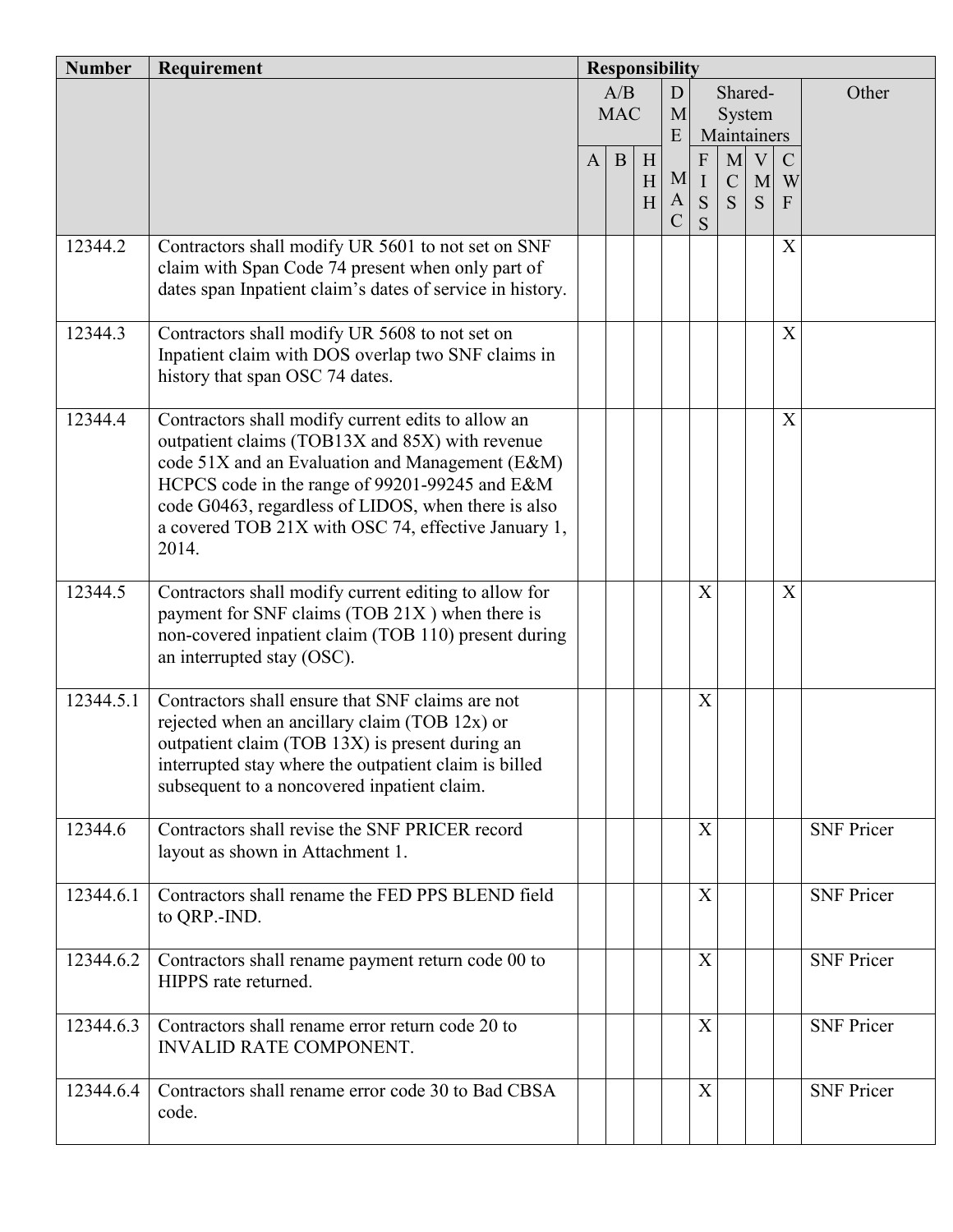| <b>Number</b> | Requirement                                                                                                                                                                                                                                                                                                                       | <b>Responsibility</b> |                   |             |                         |                            |                       |                                  |                                    |                   |
|---------------|-----------------------------------------------------------------------------------------------------------------------------------------------------------------------------------------------------------------------------------------------------------------------------------------------------------------------------------|-----------------------|-------------------|-------------|-------------------------|----------------------------|-----------------------|----------------------------------|------------------------------------|-------------------|
|               |                                                                                                                                                                                                                                                                                                                                   |                       | A/B<br><b>MAC</b> |             | D<br>M<br>E             |                            |                       | Shared-<br>System<br>Maintainers |                                    | Other             |
|               |                                                                                                                                                                                                                                                                                                                                   | $\mathbf{A}$          | B                 | H<br>H<br>H | M<br>A<br>$\mathcal{C}$ | F<br>$\mathbf I$<br>S<br>S | M<br>$\mathbf C$<br>S | $\rm V$<br>M<br>S                | $\mathcal{C}$<br>W<br>$\mathbf{F}$ |                   |
| 12344.2       | Contractors shall modify UR 5601 to not set on SNF<br>claim with Span Code 74 present when only part of<br>dates span Inpatient claim's dates of service in history.                                                                                                                                                              |                       |                   |             |                         |                            |                       |                                  | X                                  |                   |
| 12344.3       | Contractors shall modify UR 5608 to not set on<br>Inpatient claim with DOS overlap two SNF claims in<br>history that span OSC 74 dates.                                                                                                                                                                                           |                       |                   |             |                         |                            |                       |                                  | X                                  |                   |
| 12344.4       | Contractors shall modify current edits to allow an<br>outpatient claims (TOB13X and 85X) with revenue<br>code 51X and an Evaluation and Management (E&M)<br>HCPCS code in the range of 99201-99245 and E&M<br>code G0463, regardless of LIDOS, when there is also<br>a covered TOB 21X with OSC 74, effective January 1,<br>2014. |                       |                   |             |                         |                            |                       |                                  | X                                  |                   |
| 12344.5       | Contractors shall modify current editing to allow for<br>payment for SNF claims (TOB 21X) when there is<br>non-covered inpatient claim (TOB 110) present during<br>an interrupted stay (OSC).                                                                                                                                     |                       |                   |             |                         | X                          |                       |                                  | X                                  |                   |
| 12344.5.1     | Contractors shall ensure that SNF claims are not<br>rejected when an ancillary claim (TOB 12x) or<br>outpatient claim (TOB 13X) is present during an<br>interrupted stay where the outpatient claim is billed<br>subsequent to a noncovered inpatient claim.                                                                      |                       |                   |             |                         | $\boldsymbol{\mathrm{X}}$  |                       |                                  |                                    |                   |
| 12344.6       | Contractors shall revise the SNF PRICER record<br>layout as shown in Attachment 1.                                                                                                                                                                                                                                                |                       |                   |             |                         | $\overline{X}$             |                       |                                  |                                    | <b>SNF Pricer</b> |
| 12344.6.1     | Contractors shall rename the FED PPS BLEND field<br>to QRP.-IND.                                                                                                                                                                                                                                                                  |                       |                   |             |                         | $\overline{X}$             |                       |                                  |                                    | <b>SNF Pricer</b> |
| 12344.6.2     | Contractors shall rename payment return code 00 to<br>HIPPS rate returned.                                                                                                                                                                                                                                                        |                       |                   |             |                         | $\rm X$                    |                       |                                  |                                    | <b>SNF Pricer</b> |
| 12344.6.3     | Contractors shall rename error return code 20 to<br><b>INVALID RATE COMPONENT.</b>                                                                                                                                                                                                                                                |                       |                   |             |                         | $\rm X$                    |                       |                                  |                                    | <b>SNF Pricer</b> |
| 12344.6.4     | Contractors shall rename error code 30 to Bad CBSA<br>code.                                                                                                                                                                                                                                                                       |                       |                   |             |                         | X                          |                       |                                  |                                    | <b>SNF Pricer</b> |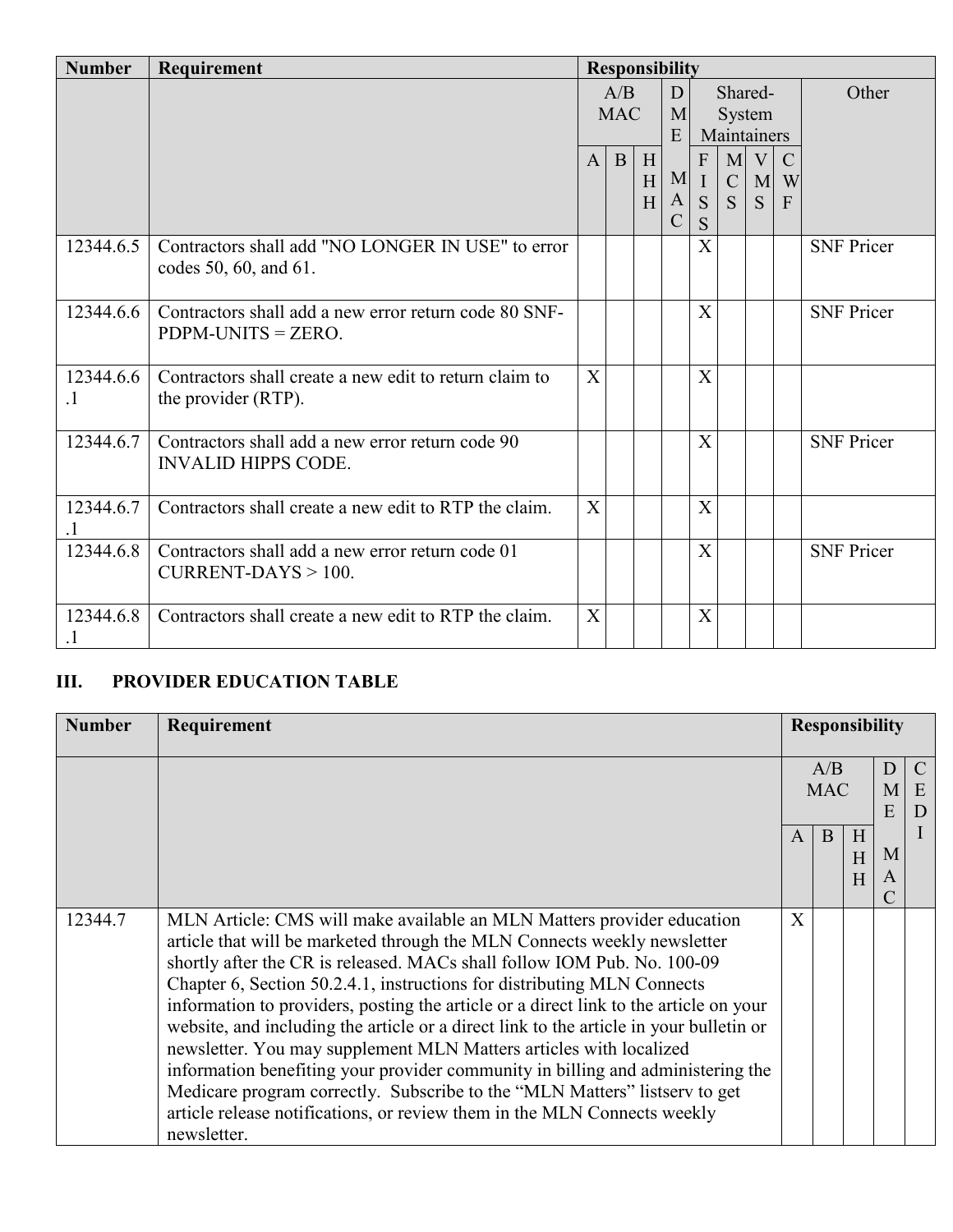| <b>Number</b>          | Requirement                                                                    | <b>Responsibility</b> |               |   |              |              |              |              |   |                   |
|------------------------|--------------------------------------------------------------------------------|-----------------------|---------------|---|--------------|--------------|--------------|--------------|---|-------------------|
|                        |                                                                                |                       | A/B           |   |              | D            | Shared-      |              |   | Other             |
|                        |                                                                                |                       | <b>MAC</b>    |   |              | M<br>System  |              |              |   |                   |
|                        |                                                                                |                       |               |   | E            | Maintainers  |              |              |   |                   |
|                        |                                                                                |                       | $A \,   \, B$ | H |              | $\mathbf{F}$ | M            | V            | C |                   |
|                        |                                                                                |                       |               | H | $\mathbf{M}$ | $\mathbf I$  | $\mathbf{C}$ | M            | W |                   |
|                        |                                                                                |                       |               | H | A            | S            | S.           | <sub>S</sub> | F |                   |
|                        |                                                                                |                       |               |   | $\mathbf C$  | S            |              |              |   |                   |
| 12344.6.5              | Contractors shall add "NO LONGER IN USE" to error<br>codes 50, 60, and 61.     |                       |               |   |              | X            |              |              |   | <b>SNF Pricer</b> |
| 12344.6.6              | Contractors shall add a new error return code 80 SNF-<br>$PDPM-UNITS = ZERO.$  |                       |               |   |              | X            |              |              |   | <b>SNF Pricer</b> |
| 12344.6.6<br>$\cdot$ 1 | Contractors shall create a new edit to return claim to<br>the provider (RTP).  | $\mathbf{X}$          |               |   |              | X            |              |              |   |                   |
| 12344.6.7              | Contractors shall add a new error return code 90<br><b>INVALID HIPPS CODE.</b> |                       |               |   |              | X            |              |              |   | <b>SNF Pricer</b> |
| 12344.6.7              | Contractors shall create a new edit to RTP the claim.                          | $\mathbf{X}$          |               |   |              | X            |              |              |   |                   |
| 12344.6.8              | Contractors shall add a new error return code 01<br>$CURRENT-DAYS > 100.$      |                       |               |   |              | X            |              |              |   | <b>SNF Pricer</b> |
| 12344.6.8              | Contractors shall create a new edit to RTP the claim.                          | X                     |               |   |              | X            |              |              |   |                   |

### **III. PROVIDER EDUCATION TABLE**

| <b>Number</b> | Requirement                                                                                                                                                                                                                                                                                                                                                                                                                                                                                                                                                                                                                                                                                                                                                                                                                   |              |                   | <b>Responsibility</b> |        |                   |
|---------------|-------------------------------------------------------------------------------------------------------------------------------------------------------------------------------------------------------------------------------------------------------------------------------------------------------------------------------------------------------------------------------------------------------------------------------------------------------------------------------------------------------------------------------------------------------------------------------------------------------------------------------------------------------------------------------------------------------------------------------------------------------------------------------------------------------------------------------|--------------|-------------------|-----------------------|--------|-------------------|
|               |                                                                                                                                                                                                                                                                                                                                                                                                                                                                                                                                                                                                                                                                                                                                                                                                                               |              | A/B<br><b>MAC</b> |                       | M<br>E | E<br>$\mathsf{D}$ |
|               |                                                                                                                                                                                                                                                                                                                                                                                                                                                                                                                                                                                                                                                                                                                                                                                                                               | $\mathsf{A}$ | B                 | H<br>H<br>H           | M<br>A |                   |
| 12344.7       | MLN Article: CMS will make available an MLN Matters provider education<br>article that will be marketed through the MLN Connects weekly newsletter<br>shortly after the CR is released. MACs shall follow IOM Pub. No. 100-09<br>Chapter 6, Section 50.2.4.1, instructions for distributing MLN Connects<br>information to providers, posting the article or a direct link to the article on your<br>website, and including the article or a direct link to the article in your bulletin or<br>newsletter. You may supplement MLN Matters articles with localized<br>information benefiting your provider community in billing and administering the<br>Medicare program correctly. Subscribe to the "MLN Matters" listserv to get<br>article release notifications, or review them in the MLN Connects weekly<br>newsletter. | $\mathbf{X}$ |                   |                       |        |                   |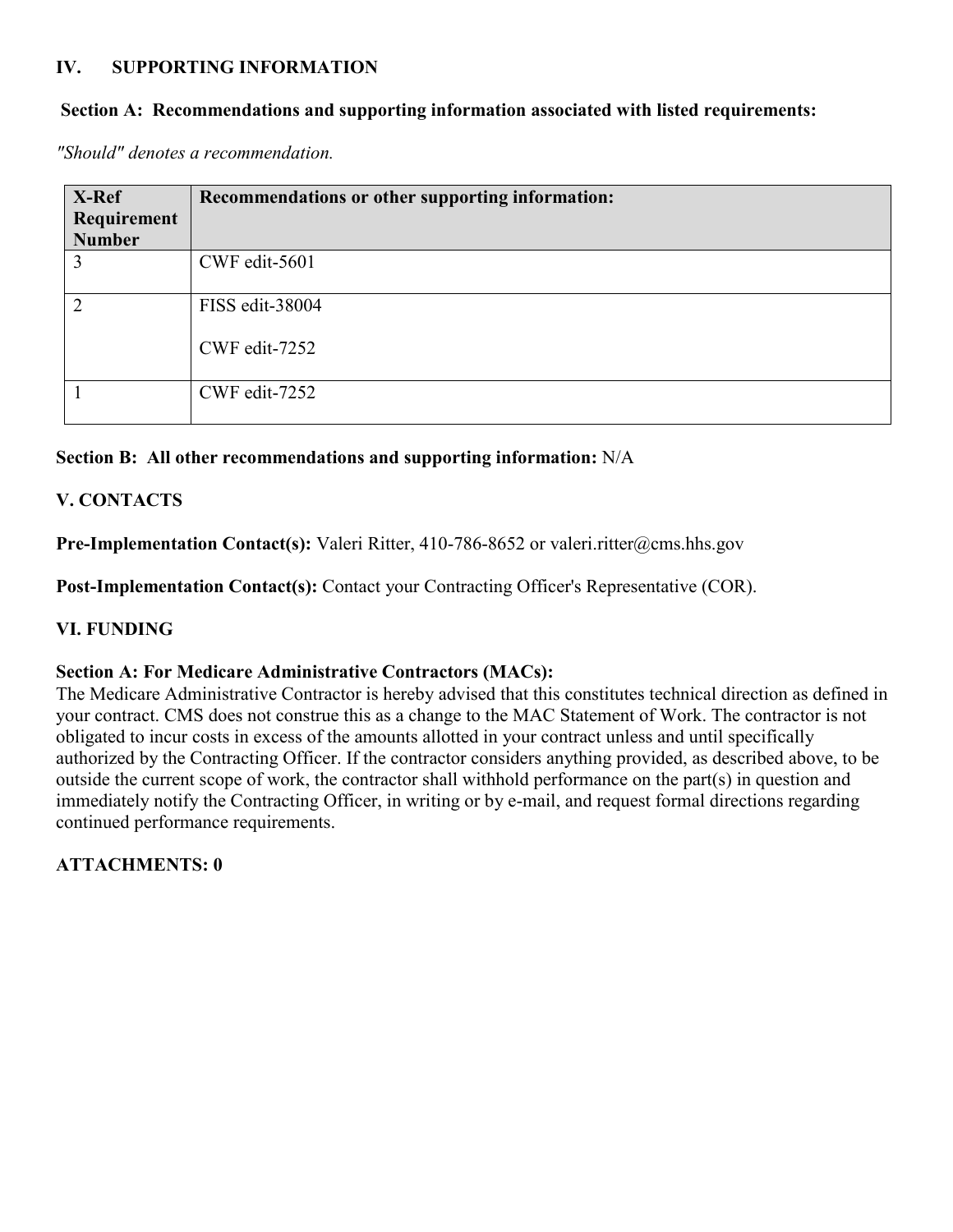### **IV. SUPPORTING INFORMATION**

#### **Section A: Recommendations and supporting information associated with listed requirements:**

*"Should" denotes a recommendation.*

| X-Ref         | Recommendations or other supporting information: |
|---------------|--------------------------------------------------|
| Requirement   |                                                  |
| <b>Number</b> |                                                  |
| 3             | CWF edit-5601                                    |
|               | FISS edit-38004                                  |
|               | CWF edit-7252                                    |
|               | CWF edit-7252                                    |

### **Section B: All other recommendations and supporting information:** N/A

### **V. CONTACTS**

Pre-Implementation Contact(s): Valeri Ritter, 410-786-8652 or valeri.ritter@cms.hhs.gov

Post-Implementation Contact(s): Contact your Contracting Officer's Representative (COR).

### **VI. FUNDING**

### **Section A: For Medicare Administrative Contractors (MACs):**

The Medicare Administrative Contractor is hereby advised that this constitutes technical direction as defined in your contract. CMS does not construe this as a change to the MAC Statement of Work. The contractor is not obligated to incur costs in excess of the amounts allotted in your contract unless and until specifically authorized by the Contracting Officer. If the contractor considers anything provided, as described above, to be outside the current scope of work, the contractor shall withhold performance on the part(s) in question and immediately notify the Contracting Officer, in writing or by e-mail, and request formal directions regarding continued performance requirements.

**ATTACHMENTS: 0**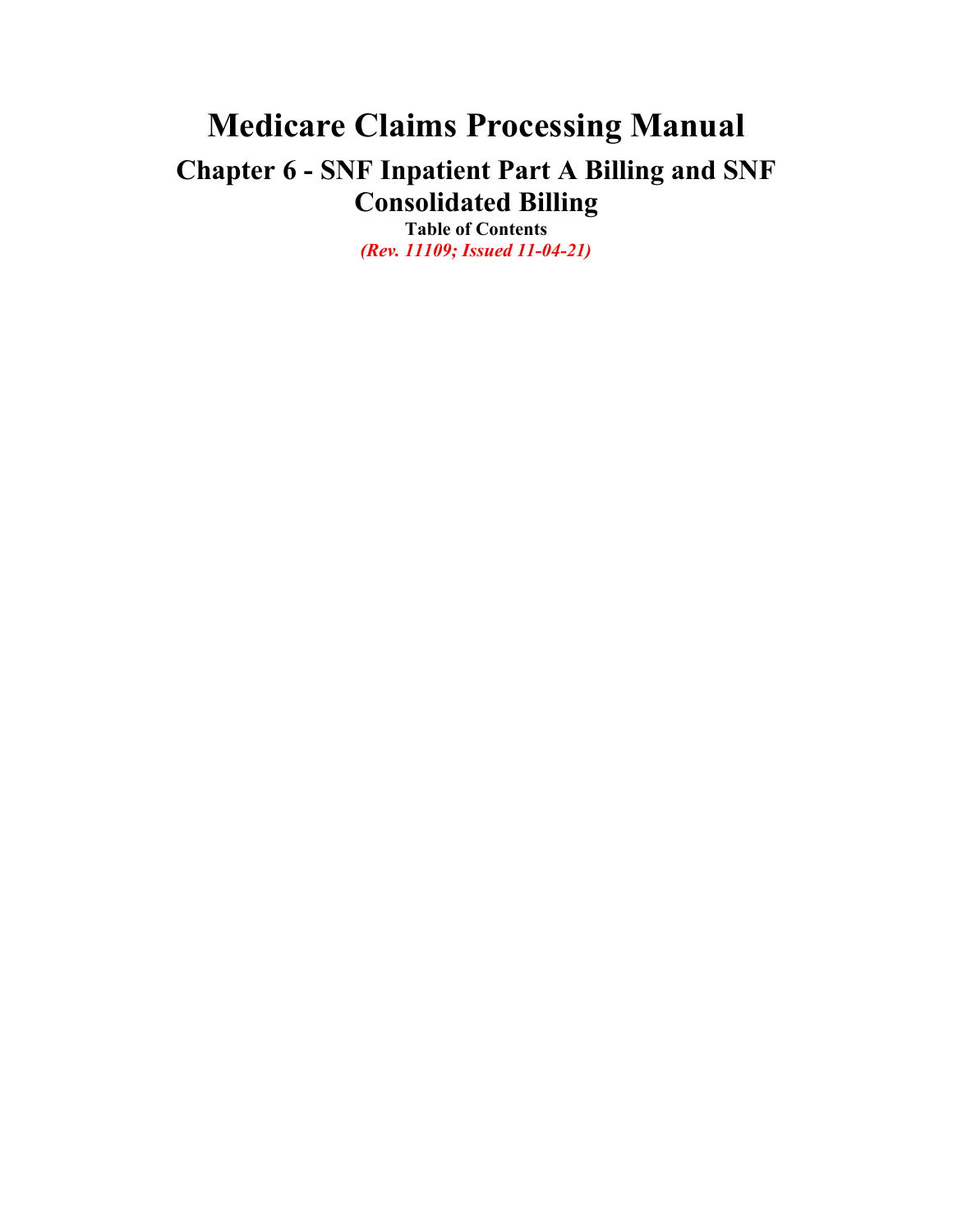# **Medicare Claims Processing Manual Chapter 6 - SNF Inpatient Part A Billing and SNF Consolidated Billing**

**Table of Contents** *(Rev. 11109; Issued 11-04-21)*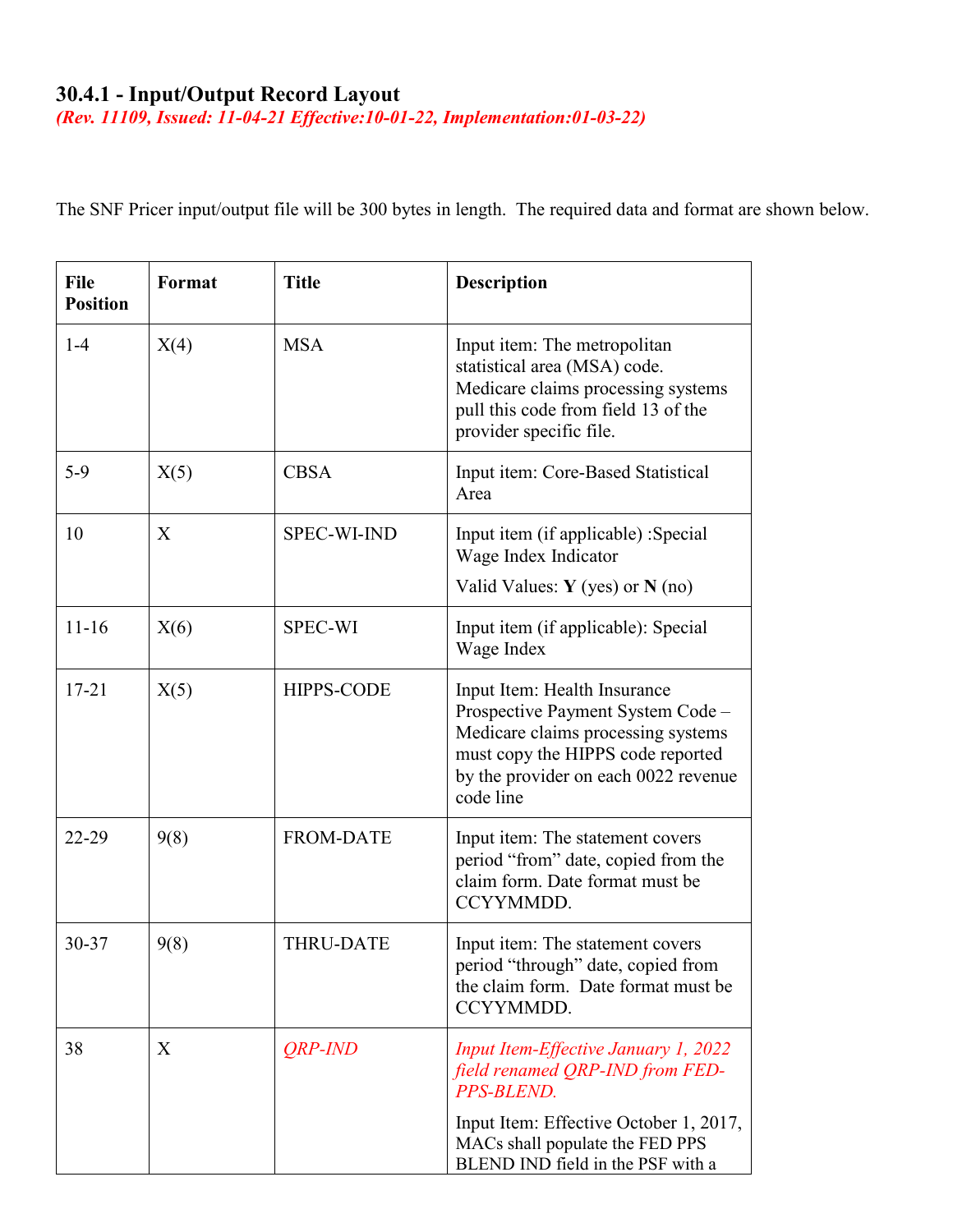### **30.4.1 - Input/Output Record Layout**

*(Rev. 11109, Issued: 11-04-21 Effective:10-01-22, Implementation:01-03-22)*

The SNF Pricer input/output file will be 300 bytes in length. The required data and format are shown below.

| <b>File</b><br><b>Position</b> | Format | <b>Title</b>       | <b>Description</b>                                                                                                                                                                                             |
|--------------------------------|--------|--------------------|----------------------------------------------------------------------------------------------------------------------------------------------------------------------------------------------------------------|
| $1-4$                          | X(4)   | <b>MSA</b>         | Input item: The metropolitan<br>statistical area (MSA) code.<br>Medicare claims processing systems<br>pull this code from field 13 of the<br>provider specific file.                                           |
| $5-9$                          | X(5)   | <b>CBSA</b>        | Input item: Core-Based Statistical<br>Area                                                                                                                                                                     |
| 10                             | X      | <b>SPEC-WI-IND</b> | Input item (if applicable) : Special<br>Wage Index Indicator<br>Valid Values: $Y$ (yes) or $N$ (no)                                                                                                            |
| $11 - 16$                      | X(6)   | <b>SPEC-WI</b>     | Input item (if applicable): Special<br>Wage Index                                                                                                                                                              |
| $17 - 21$                      | X(5)   | <b>HIPPS-CODE</b>  | Input Item: Health Insurance<br>Prospective Payment System Code -<br>Medicare claims processing systems<br>must copy the HIPPS code reported<br>by the provider on each 0022 revenue<br>code line              |
| 22-29                          | 9(8)   | <b>FROM-DATE</b>   | Input item: The statement covers<br>period "from" date, copied from the<br>claim form. Date format must be<br>CCYYMMDD.                                                                                        |
| 30-37                          | 9(8)   | <b>THRU-DATE</b>   | Input item: The statement covers<br>period "through" date, copied from<br>the claim form. Date format must be<br>CCYYMMDD.                                                                                     |
| 38                             | X      | QRP-IND            | <b>Input Item-Effective January 1, 2022</b><br>field renamed QRP-IND from FED-<br>PPS-BLEND.<br>Input Item: Effective October 1, 2017,<br>MACs shall populate the FED PPS<br>BLEND IND field in the PSF with a |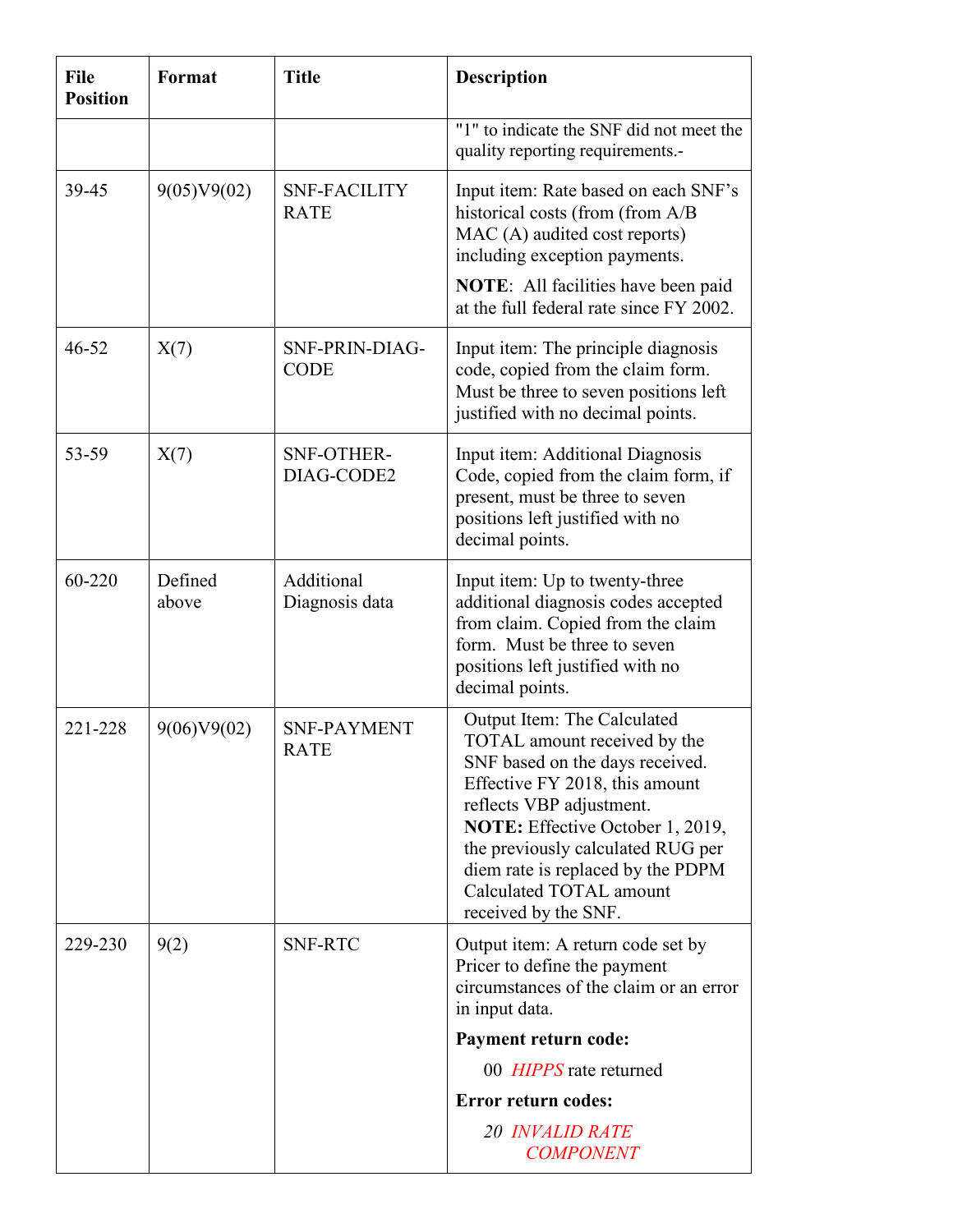| <b>File</b><br><b>Position</b> | Format           | <b>Title</b>                       | <b>Description</b>                                                                                                                                                                                                                                                                                                                   |
|--------------------------------|------------------|------------------------------------|--------------------------------------------------------------------------------------------------------------------------------------------------------------------------------------------------------------------------------------------------------------------------------------------------------------------------------------|
|                                |                  |                                    | "1" to indicate the SNF did not meet the<br>quality reporting requirements.-                                                                                                                                                                                                                                                         |
| 39-45                          | 9(05)V9(02)      | <b>SNF-FACILITY</b><br><b>RATE</b> | Input item: Rate based on each SNF's<br>historical costs (from (from A/B)<br>MAC (A) audited cost reports)<br>including exception payments.<br><b>NOTE:</b> All facilities have been paid<br>at the full federal rate since FY 2002.                                                                                                 |
| $46 - 52$                      | X(7)             | SNF-PRIN-DIAG-<br><b>CODE</b>      | Input item: The principle diagnosis<br>code, copied from the claim form.<br>Must be three to seven positions left<br>justified with no decimal points.                                                                                                                                                                               |
| 53-59                          | X(7)             | <b>SNF-OTHER-</b><br>DIAG-CODE2    | Input item: Additional Diagnosis<br>Code, copied from the claim form, if<br>present, must be three to seven<br>positions left justified with no<br>decimal points.                                                                                                                                                                   |
| 60-220                         | Defined<br>above | Additional<br>Diagnosis data       | Input item: Up to twenty-three<br>additional diagnosis codes accepted<br>from claim. Copied from the claim<br>form. Must be three to seven<br>positions left justified with no<br>decimal points.                                                                                                                                    |
| 221-228                        | 9(06)V9(02)      | SNF-PAYMENT<br><b>RATE</b>         | Output Item: The Calculated<br>TOTAL amount received by the<br>SNF based on the days received.<br>Effective FY 2018, this amount<br>reflects VBP adjustment.<br><b>NOTE:</b> Effective October 1, 2019,<br>the previously calculated RUG per<br>diem rate is replaced by the PDPM<br>Calculated TOTAL amount<br>received by the SNF. |
| 229-230                        | 9(2)             | <b>SNF-RTC</b>                     | Output item: A return code set by<br>Pricer to define the payment<br>circumstances of the claim or an error<br>in input data.                                                                                                                                                                                                        |
|                                |                  |                                    | Payment return code:                                                                                                                                                                                                                                                                                                                 |
|                                |                  |                                    | 00 HIPPS rate returned                                                                                                                                                                                                                                                                                                               |
|                                |                  |                                    | Error return codes:                                                                                                                                                                                                                                                                                                                  |
|                                |                  |                                    | <b>20 INVALID RATE</b><br><b>COMPONENT</b>                                                                                                                                                                                                                                                                                           |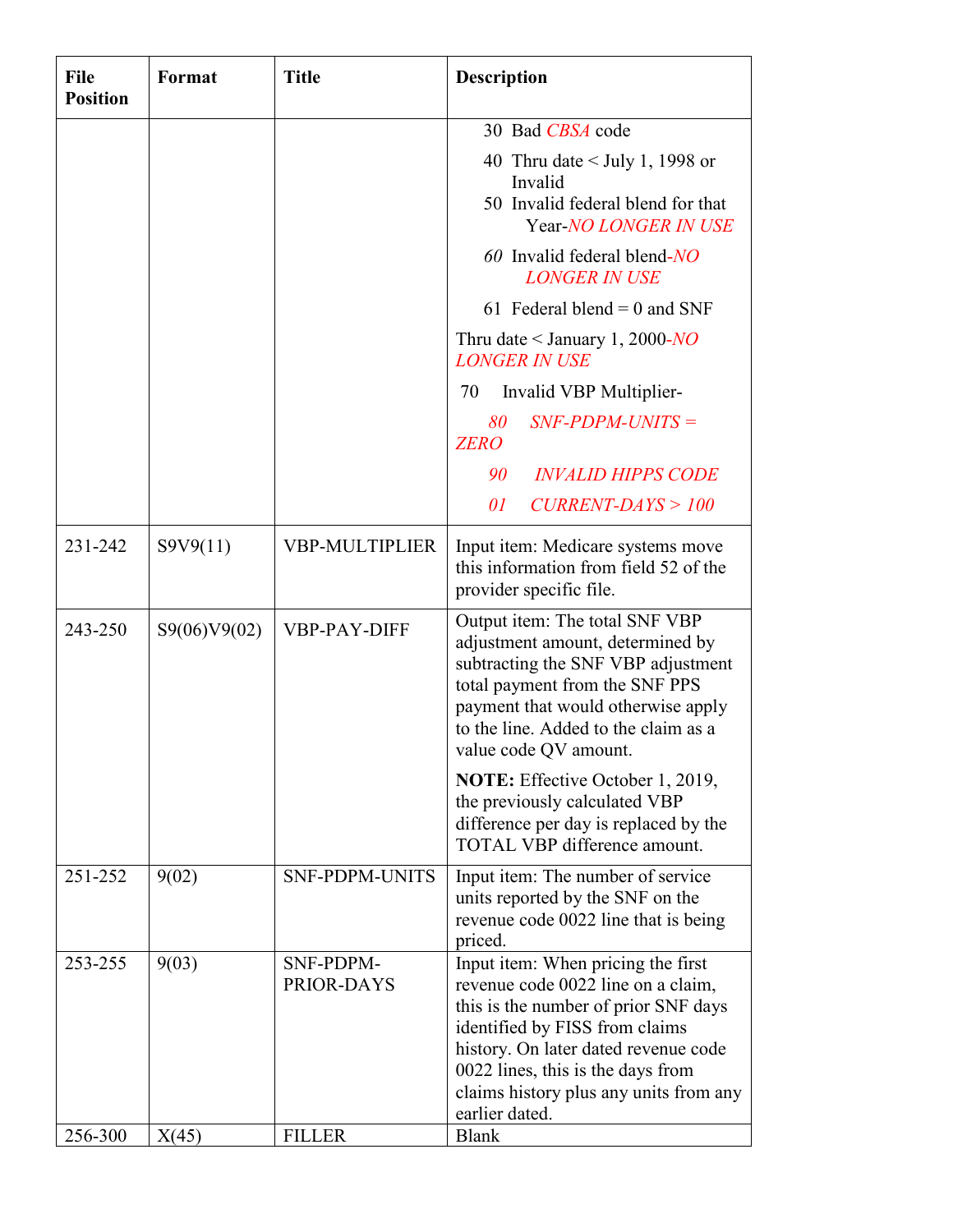| <b>File</b><br><b>Position</b> | Format       | <b>Title</b>            | <b>Description</b>                                                                                                                                                                                                                                                                          |
|--------------------------------|--------------|-------------------------|---------------------------------------------------------------------------------------------------------------------------------------------------------------------------------------------------------------------------------------------------------------------------------------------|
|                                |              |                         | 30 Bad CBSA code                                                                                                                                                                                                                                                                            |
|                                |              |                         | 40 Thru date $\le$ July 1, 1998 or<br>Invalid<br>50 Invalid federal blend for that<br>Year-NO LONGER IN USE                                                                                                                                                                                 |
|                                |              |                         | 60 Invalid federal blend-NO<br><b>LONGER IN USE</b>                                                                                                                                                                                                                                         |
|                                |              |                         | 61 Federal blend = 0 and SNF                                                                                                                                                                                                                                                                |
|                                |              |                         | Thru date $\le$ January 1, 2000- <i>NO</i><br><b>LONGER IN USE</b>                                                                                                                                                                                                                          |
|                                |              |                         | Invalid VBP Multiplier-<br>70                                                                                                                                                                                                                                                               |
|                                |              |                         | $SNF-PDPM-UNITS =$<br>80<br><b>ZERO</b>                                                                                                                                                                                                                                                     |
|                                |              |                         | <b>INVALID HIPPS CODE</b><br>90                                                                                                                                                                                                                                                             |
|                                |              |                         | $CURRENT-DAYS > 100$<br>01                                                                                                                                                                                                                                                                  |
| 231-242                        | S9V9(11)     | <b>VBP-MULTIPLIER</b>   | Input item: Medicare systems move<br>this information from field 52 of the<br>provider specific file.                                                                                                                                                                                       |
| 243-250                        | S9(06)V9(02) | VBP-PAY-DIFF            | Output item: The total SNF VBP<br>adjustment amount, determined by<br>subtracting the SNF VBP adjustment<br>total payment from the SNF PPS<br>payment that would otherwise apply<br>to the line. Added to the claim as a<br>value code QV amount.                                           |
|                                |              |                         | <b>NOTE:</b> Effective October 1, 2019,<br>the previously calculated VBP<br>difference per day is replaced by the<br><b>TOTAL VBP</b> difference amount.                                                                                                                                    |
| 251-252                        | 9(02)        | SNF-PDPM-UNITS          | Input item: The number of service<br>units reported by the SNF on the<br>revenue code 0022 line that is being<br>priced.                                                                                                                                                                    |
| 253-255                        | 9(03)        | SNF-PDPM-<br>PRIOR-DAYS | Input item: When pricing the first<br>revenue code 0022 line on a claim,<br>this is the number of prior SNF days<br>identified by FISS from claims<br>history. On later dated revenue code<br>0022 lines, this is the days from<br>claims history plus any units from any<br>earlier dated. |
| 256-300                        | X(45)        | <b>FILLER</b>           | <b>Blank</b>                                                                                                                                                                                                                                                                                |